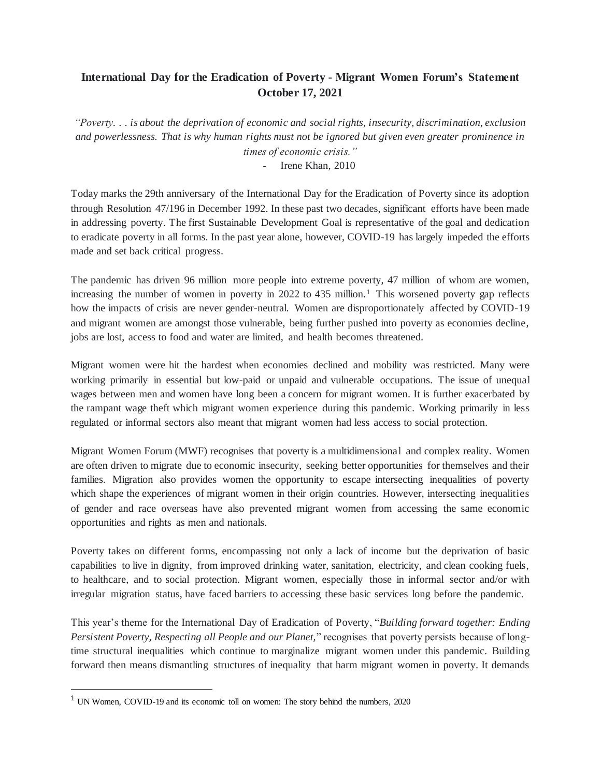## **International Day for the Eradication of Poverty - Migrant Women Forum's Statement October 17, 2021**

*"Poverty. . . is about the deprivation of economic and social rights, insecurity, discrimination, exclusion and powerlessness. That is why human rights must not be ignored but given even greater prominence in times of economic crisis."*

Irene Khan, 2010

Today marks the 29th anniversary of the International Day for the Eradication of Poverty since its adoption through Resolution 47/196 in December 1992. In these past two decades, significant efforts have been made in addressing poverty. The first Sustainable Development Goal is representative of the goal and dedication to eradicate poverty in all forms. In the past year alone, however, COVID-19 has largely impeded the efforts made and set back critical progress.

The pandemic has driven 96 million more people into extreme poverty, 47 million of whom are women, increasing the number of women in poverty in 2022 to 435 million.<sup>1</sup> This worsened poverty gap reflects how the impacts of crisis are never gender-neutral. Women are disproportionately affected by COVID-19 and migrant women are amongst those vulnerable, being further pushed into poverty as economies decline, jobs are lost, access to food and water are limited, and health becomes threatened.

Migrant women were hit the hardest when economies declined and mobility was restricted. Many were working primarily in essential but low-paid or unpaid and vulnerable occupations. The issue of unequal wages between men and women have long been a concern for migrant women. It is further exacerbated by the rampant wage theft which migrant women experience during this pandemic. Working primarily in less regulated or informal sectors also meant that migrant women had less access to social protection.

Migrant Women Forum (MWF) recognises that poverty is a multidimensional and complex reality. Women are often driven to migrate due to economic insecurity, seeking better opportunities for themselves and their families. Migration also provides women the opportunity to escape intersecting inequalities of poverty which shape the experiences of migrant women in their origin countries. However, intersecting inequalities of gender and race overseas have also prevented migrant women from accessing the same economic opportunities and rights as men and nationals.

Poverty takes on different forms, encompassing not only a lack of income but the deprivation of basic capabilities to live in dignity, from improved drinking water, sanitation, electricity, and clean cooking fuels, to healthcare, and to social protection. Migrant women, especially those in informal sector and/or with irregular migration status, have faced barriers to accessing these basic services long before the pandemic.

This year's theme for the International Day of Eradication of Poverty, "*Building forward together: Ending Persistent Poverty, Respecting all People and our Planet,*" recognises that poverty persists because of longtime structural inequalities which continue to marginalize migrant women under this pandemic. Building forward then means dismantling structures of inequality that harm migrant women in poverty. It demands

 $\overline{a}$ 

<sup>1</sup> UN Women, COVID-19 and its economic toll on women: The story behind the numbers, 2020